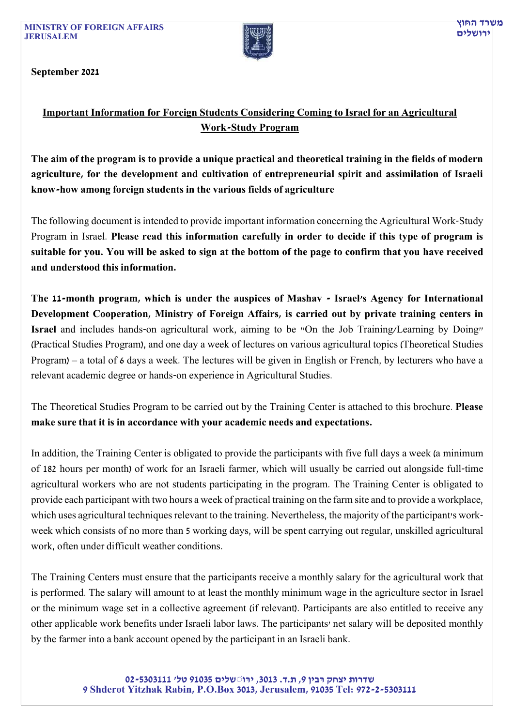MINISTRY OF FOREIGN AFFAIRS JERUSALEM



September 2021

## Important Information for Foreign Students Considering Coming to Israel for an Agricultural Work-Study Program

The aim of the program is to provide a unique practical and theoretical training in the fields of modern agriculture, for the development and cultivation of entrepreneurial spirit and assimilation of Israeli know-how among foreign students in the various fields of agriculture

The following document is intended to provide important information concerning the Agricultural Work-Study Program in Israel. Please read this information carefully in order to decide if this type of program is suitable for you. You will be asked to sign at the bottom of the page to confirm that you have received and understood this information.

The 11-month program, which is under the auspices of Mashav - Israel's Agency for International Development Cooperation, Ministry of Foreign Affairs, is carried out by private training centers in Israel and includes hands-on agricultural work, aiming to be "On the Job Training/Learning by Doing" (Practical Studies Program), and one day a week of lectures on various agricultural topics (Theoretical Studies Program) – a total of 6 days a week. The lectures will be given in English or French, by lecturers who have a relevant academic degree or hands-on experience in Agricultural Studies.

The Theoretical Studies Program to be carried out by the Training Center is attached to this brochure. Please make sure that it is in accordance with your academic needs and expectations.

In addition, the Training Center is obligated to provide the participants with five full days a week (a minimum of 182 hours per month) of work for an Israeli farmer, which will usually be carried out alongside full-time agricultural workers who are not students participating in the program. The Training Center is obligated to provide each participant with two hours a week of practical training on the farm site and to provide a workplace, which uses agricultural techniques relevant to the training. Nevertheless, the majority of the participant's workweek which consists of no more than 5 working days, will be spent carrying out regular, unskilled agricultural work, often under difficult weather conditions.

The Training Centers must ensure that the participants receive a monthly salary for the agricultural work that is performed. The salary will amount to at least the monthly minimum wage in the agriculture sector in Israel or the minimum wage set in a collective agreement (if relevant). Participants are also entitled to receive any other applicable work benefits under Israeli labor laws. The participants' net salary will be deposited monthly by the farmer into a bank account opened by the participant in an Israeli bank.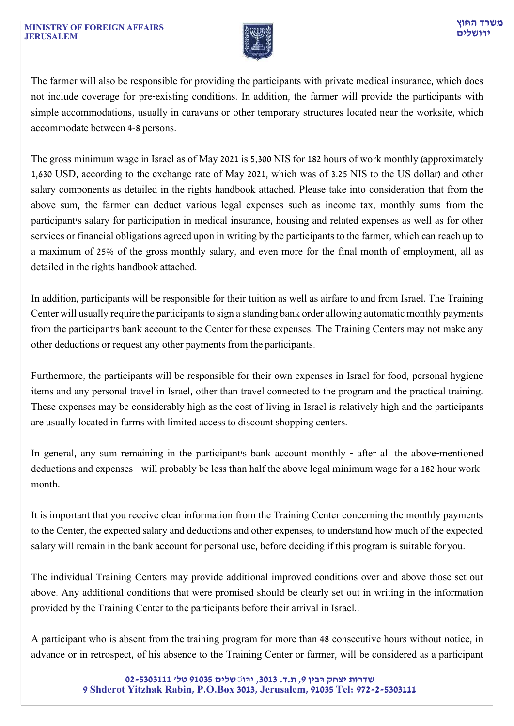

The farmer will also be responsible for providing the participants with private medical insurance, which does not include coverage for pre-existing conditions. In addition, the farmer will provide the participants with simple accommodations, usually in caravans or other temporary structures located near the worksite, which accommodate between 4-8 persons.

The gross minimum wage in Israel as of May 2021 is 5,300 NIS for 182 hours of work monthly (approximately 1,630 USD, according to the exchange rate of May 2021, which was of 3.25 NIS to the US dollar) and other salary components as detailed in the rights handbook attached. Please take into consideration that from the above sum, the farmer can deduct various legal expenses such as income tax, monthly sums from the participant's salary for participation in medical insurance, housing and related expenses as well as for other services or financial obligations agreed upon in writing by the participants to the farmer, which can reach up to a maximum of 25% of the gross monthly salary, and even more for the final month of employment, all as detailed in the rights handbook attached.

In addition, participants will be responsible for their tuition as well as airfare to and from Israel. The Training Center will usually require the participants to sign a standing bank order allowing automatic monthly payments from the participant's bank account to the Center for these expenses. The Training Centers may not make any other deductions or request any other payments from the participants.

Furthermore, the participants will be responsible for their own expenses in Israel for food, personal hygiene items and any personal travel in Israel, other than travel connected to the program and the practical training. These expenses may be considerably high as the cost of living in Israel is relatively high and the participants are usually located in farms with limited access to discount shopping centers.

In general, any sum remaining in the participant's bank account monthly - after all the above-mentioned deductions and expenses - will probably be less than half the above legal minimum wage for a 182 hour workmonth.

It is important that you receive clear information from the Training Center concerning the monthly payments to the Center, the expected salary and deductions and other expenses, to understand how much of the expected salary will remain in the bank account for personal use, before deciding if this program is suitable for you.

The individual Training Centers may provide additional improved conditions over and above those set out above. Any additional conditions that were promised should be clearly set out in writing in the information provided by the Training Center to the participants before their arrival in Israel..

A participant who is absent from the training program for more than 48 consecutive hours without notice, in advance or in retrospect, of his absence to the Training Center or farmer, will be considered as a participant